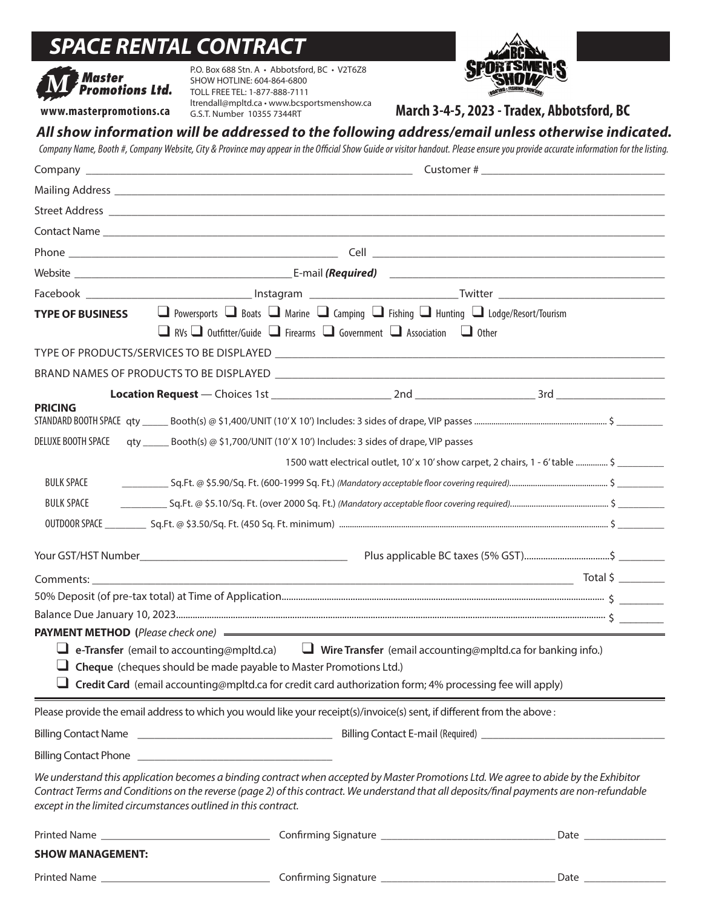# *SPACE RENTAL CONTRACT*



P.O. Box 688 Stn. A • Abbotsford, BC • V2T6Z8 SHOW HOTLINE: 604-864-6800 TOLL FREE TEL: 1-877-888-7111 ltrendall@mpltd.ca • www.bcsportsmenshow.ca G.S.T. Number 10355 7344RT



March 3-4-5, 2023 - Tradex, Abbotsford, BC

# *All show information will be addressed to the following address/email unless otherwise indicated.*

Company Name, Booth #, Company Website, City & Province may appear in the Official Show Guide or visitor handout. Please ensure you provide accurate information for the listing.

|                                                                                                                                                                                                     | <b>TYPE OF BUSINESS</b> $\Box$ Powersports $\Box$ Boats $\Box$ Marine $\Box$ Camping $\Box$ Fishing $\Box$ Hunting $\Box$ Lodge/Resort/Tourism<br>$\Box$ RVs $\Box$ Outfitter/Guide $\Box$ Firearms $\Box$ Government $\Box$ Association $\Box$ Other                                                                                               |  |                                                                                                                 |
|-----------------------------------------------------------------------------------------------------------------------------------------------------------------------------------------------------|-----------------------------------------------------------------------------------------------------------------------------------------------------------------------------------------------------------------------------------------------------------------------------------------------------------------------------------------------------|--|-----------------------------------------------------------------------------------------------------------------|
|                                                                                                                                                                                                     |                                                                                                                                                                                                                                                                                                                                                     |  |                                                                                                                 |
|                                                                                                                                                                                                     |                                                                                                                                                                                                                                                                                                                                                     |  |                                                                                                                 |
|                                                                                                                                                                                                     |                                                                                                                                                                                                                                                                                                                                                     |  |                                                                                                                 |
| <b>PRICING</b>                                                                                                                                                                                      |                                                                                                                                                                                                                                                                                                                                                     |  |                                                                                                                 |
| DELUXE BOOTH SPACE                                                                                                                                                                                  | qty ______ Booth(s) @ \$1,700/UNIT (10' X 10') Includes: 3 sides of drape, VIP passes                                                                                                                                                                                                                                                               |  |                                                                                                                 |
|                                                                                                                                                                                                     |                                                                                                                                                                                                                                                                                                                                                     |  | 1500 watt electrical outlet, 10' x 10' show carpet, 2 chairs, 1 - 6' table  \$                                  |
| <b>BULK SPACE</b>                                                                                                                                                                                   |                                                                                                                                                                                                                                                                                                                                                     |  |                                                                                                                 |
| <b>BULK SPACE</b>                                                                                                                                                                                   |                                                                                                                                                                                                                                                                                                                                                     |  |                                                                                                                 |
|                                                                                                                                                                                                     |                                                                                                                                                                                                                                                                                                                                                     |  |                                                                                                                 |
|                                                                                                                                                                                                     |                                                                                                                                                                                                                                                                                                                                                     |  |                                                                                                                 |
|                                                                                                                                                                                                     |                                                                                                                                                                                                                                                                                                                                                     |  |                                                                                                                 |
| Comments: and the comments:                                                                                                                                                                         |                                                                                                                                                                                                                                                                                                                                                     |  |                                                                                                                 |
|                                                                                                                                                                                                     |                                                                                                                                                                                                                                                                                                                                                     |  |                                                                                                                 |
|                                                                                                                                                                                                     |                                                                                                                                                                                                                                                                                                                                                     |  |                                                                                                                 |
| <b>L</b> e-Transfer (email to accounting@mpltd.ca) <b>L</b> Wire Transfer (email accounting@mpltd.ca for banking info.)<br>$\Box$ Cheque (cheques should be made payable to Master Promotions Ltd.) |                                                                                                                                                                                                                                                                                                                                                     |  |                                                                                                                 |
| Credit Card (email accounting@mpltd.ca for credit card authorization form; 4% processing fee will apply)                                                                                            |                                                                                                                                                                                                                                                                                                                                                     |  |                                                                                                                 |
|                                                                                                                                                                                                     | Please provide the email address to which you would like your receipt(s)/invoice(s) sent, if different from the above :                                                                                                                                                                                                                             |  |                                                                                                                 |
|                                                                                                                                                                                                     |                                                                                                                                                                                                                                                                                                                                                     |  |                                                                                                                 |
|                                                                                                                                                                                                     |                                                                                                                                                                                                                                                                                                                                                     |  |                                                                                                                 |
|                                                                                                                                                                                                     | We understand this application becomes a binding contract when accepted by Master Promotions Ltd. We agree to abide by the Exhibitor<br>Contract Terms and Conditions on the reverse (page 2) of this contract. We understand that all deposits/final payments are non-refundable<br>except in the limited circumstances outlined in this contract. |  |                                                                                                                 |
|                                                                                                                                                                                                     |                                                                                                                                                                                                                                                                                                                                                     |  | Date and the state of the state of the state of the state of the state of the state of the state of the state o |
| <b>SHOW MANAGEMENT:</b>                                                                                                                                                                             |                                                                                                                                                                                                                                                                                                                                                     |  |                                                                                                                 |
| <b>Printed Name</b>                                                                                                                                                                                 | Confirming Signature                                                                                                                                                                                                                                                                                                                                |  | Date                                                                                                            |